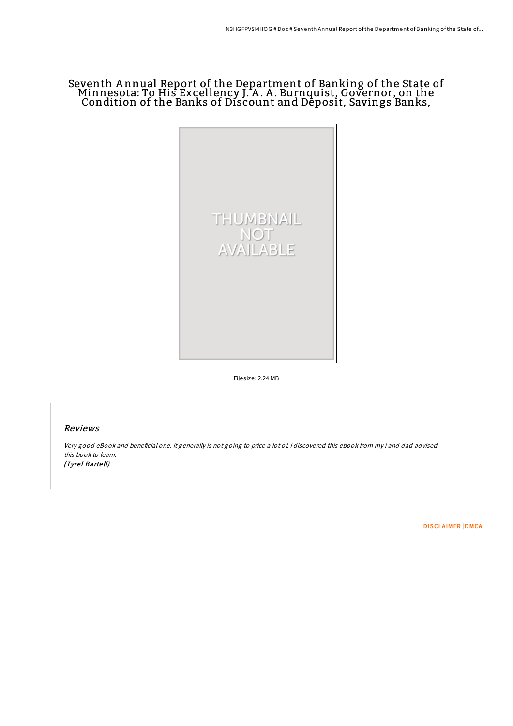## Seventh A nnual Report of the Department of Banking of the State of Minnesota: To His Excellency J. A .A . Burnquist, Governor, on the Condition of the Banks of Discount and Deposit, Savings Banks,



Filesize: 2.24 MB

## Reviews

Very good eBook and beneficial one. It generally is not going to price <sup>a</sup> lot of. <sup>I</sup> discovered this ebook from my i and dad advised this book to learn. (Tyrel Bartell)

[DISCLAIMER](http://almighty24.tech/disclaimer.html) | [DMCA](http://almighty24.tech/dmca.html)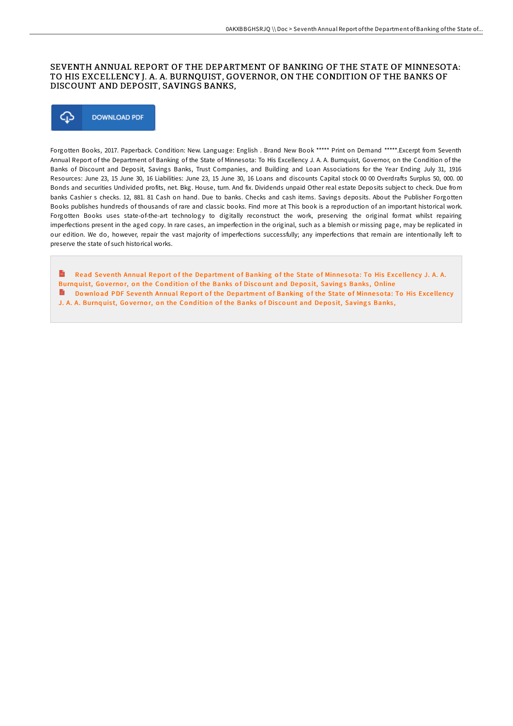## SEVENTH ANNUAL REPORT OF THE DEPARTMENT OF BANKING OF THE STATE OF MINNESOTA: TO HIS EXCELLENCY J. A. A. BURNQUIST, GOVERNOR, ON THE CONDITION OF THE BANKS OF DISCOUNT AND DEPOSIT, SAVINGS BANKS,



Forgotten Books, 2017. Paperback. Condition: New. Language: English . Brand New Book \*\*\*\*\* Print on Demand \*\*\*\*\*.Excerpt from Seventh Annual Report of the Department of Banking of the State of Minnesota: To His Excellency J. A. A. Burnquist, Governor, on the Condition of the Banks of Discount and Deposit, Savings Banks, Trust Companies, and Building and Loan Associations for the Year Ending July 31, 1916 Resources: June 23, 15 June 30, 16 Liabilities: June 23, 15 June 30, 16 Loans and discounts Capital stock 00 00 Overdrafts Surplus 50, 000. 00 Bonds and securities Undivided profits, net. Bkg. House, turn. And fix. Dividends unpaid Other real estate Deposits subject to check. Due from banks Cashier s checks. 12, 881. 81 Cash on hand. Due to banks. Checks and cash items. Savings deposits. About the Publisher Forgotten Books publishes hundreds of thousands of rare and classic books. Find more at This book is a reproduction of an important historical work. Forgotten Books uses state-of-the-art technology to digitally reconstruct the work, preserving the original format whilst repairing imperfections present in the aged copy. In rare cases, an imperfection in the original, such as a blemish or missing page, may be replicated in our edition. We do, however, repair the vast majority of imperfections successfully; any imperfections that remain are intentionally left to preserve the state of such historical works.

 $\mathbf{m}$ Read Seventh Annual Report of the [Department](http://almighty24.tech/seventh-annual-report-of-the-department-of-banki.html) of Banking of the State of Minnesota: To His Excellency J. A. A. Burnquist, Governor, on the Condition of the Banks of Discount and Deposit, Savings Banks, Online **Democration Annual Report of the [Department](http://almighty24.tech/seventh-annual-report-of-the-department-of-banki.html) of Banking of the State of Minnesota: To His Excellency** J. A. A. Burnquist, Governor, on the Condition of the Banks of Discount and Deposit, Savings Banks,